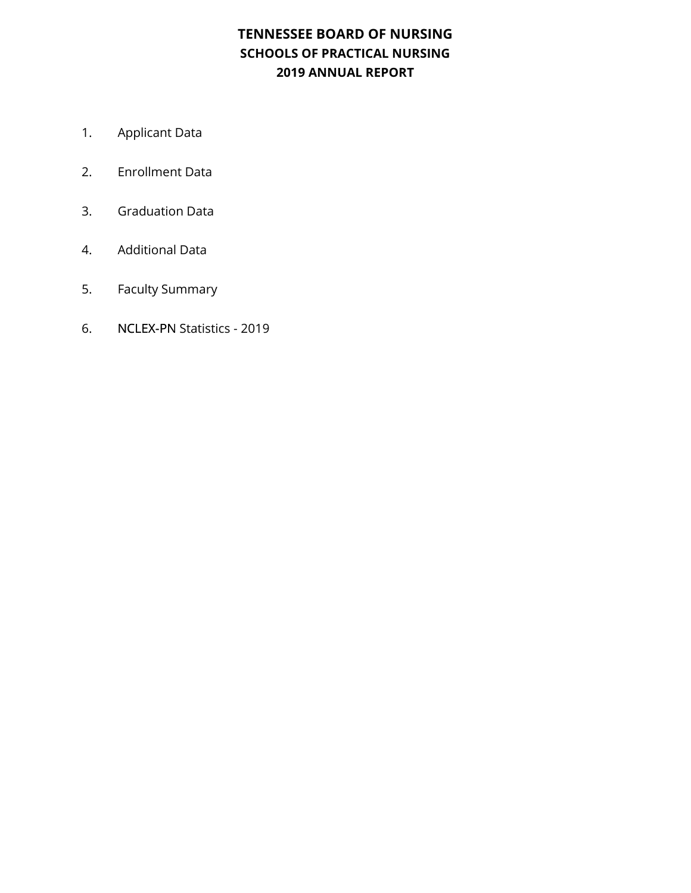- 1. Applicant Data
- 2. Enrollment Data
- 3. Graduation Data
- 4. Additional Data
- 5. Faculty Summary
- 6. NCLEX-PN Statistics 2019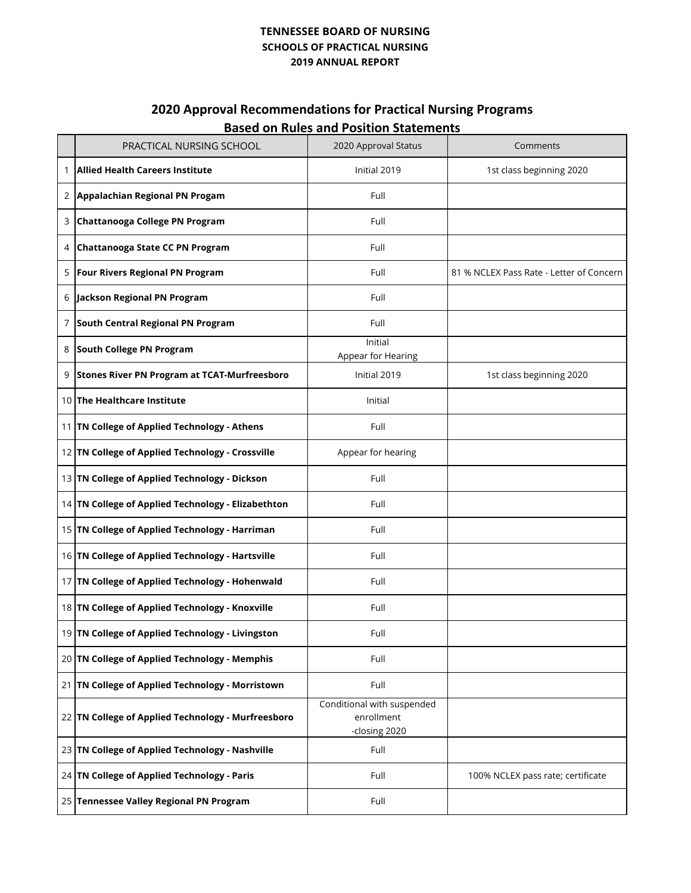### **2020 Approval Recommendations for Practical Nursing Programs Based on Rules and Position Statements**

|   | PRACTICAL NURSING SCHOOL                           | paseu on nules and r osition statements<br>2020 Approval Status | Comments                                 |
|---|----------------------------------------------------|-----------------------------------------------------------------|------------------------------------------|
| 1 | <b>Allied Health Careers Institute</b>             | Initial 2019                                                    | 1st class beginning 2020                 |
| 2 | Appalachian Regional PN Progam                     | Full                                                            |                                          |
| 3 | Chattanooga College PN Program                     | Full                                                            |                                          |
| 4 | Chattanooga State CC PN Program                    | Full                                                            |                                          |
| 5 | <b>Four Rivers Regional PN Program</b>             | Full                                                            | 81 % NCLEX Pass Rate - Letter of Concern |
| 6 | Jackson Regional PN Program                        | Full                                                            |                                          |
|   | 7 South Central Regional PN Program                | Full                                                            |                                          |
| 8 | South College PN Program                           | Initial<br>Appear for Hearing                                   |                                          |
| 9 | Stones River PN Program at TCAT-Murfreesboro       | Initial 2019                                                    | 1st class beginning 2020                 |
|   | 10 The Healthcare Institute                        | Initial                                                         |                                          |
|   | 11 TN College of Applied Technology - Athens       | Full                                                            |                                          |
|   | 12 TN College of Applied Technology - Crossville   | Appear for hearing                                              |                                          |
|   | 13 TN College of Applied Technology - Dickson      | Full                                                            |                                          |
|   | 14 TN College of Applied Technology - Elizabethton | Full                                                            |                                          |
|   | 15 TN College of Applied Technology - Harriman     | Full                                                            |                                          |
|   | 16 TN College of Applied Technology - Hartsville   | Full                                                            |                                          |
|   | 17 TN College of Applied Technology - Hohenwald    | Full                                                            |                                          |
|   | 18 TN College of Applied Technology - Knoxville    | Full                                                            |                                          |
|   | 19 TN College of Applied Technology - Livingston   | Full                                                            |                                          |
|   | 20 TN College of Applied Technology - Memphis      | Full                                                            |                                          |
|   | 21 TN College of Applied Technology - Morristown   | Full                                                            |                                          |
|   | 22 TN College of Applied Technology - Murfreesboro | Conditional with suspended<br>enrollment<br>-closing 2020       |                                          |
|   | 23 TN College of Applied Technology - Nashville    | Full                                                            |                                          |
|   | 24 TN College of Applied Technology - Paris        | Full                                                            | 100% NCLEX pass rate; certificate        |
|   | 25 Tennessee Valley Regional PN Program            | Full                                                            |                                          |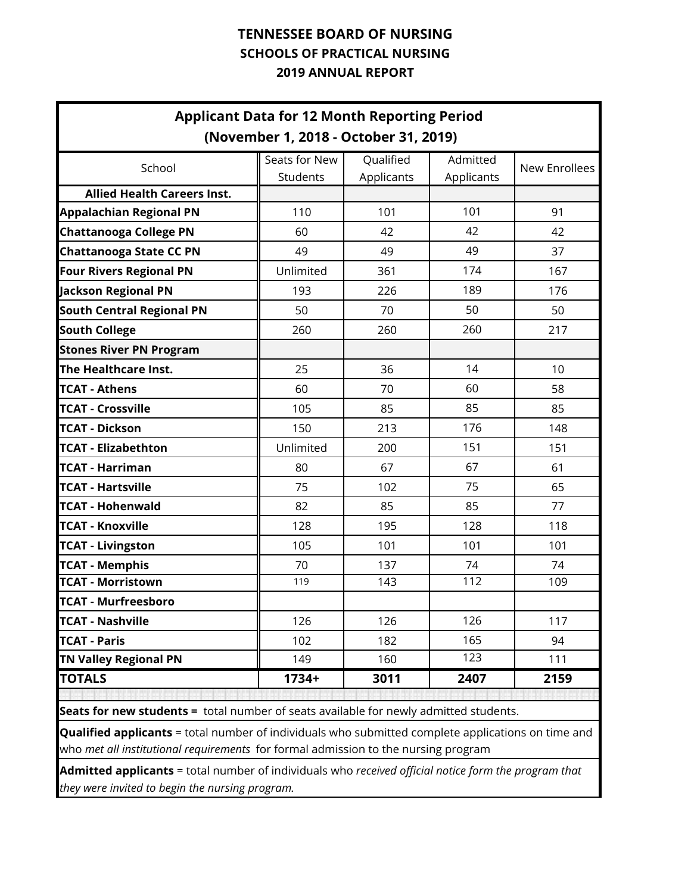| <b>Applicant Data for 12 Month Reporting Period</b><br>(November 1, 2018 - October 31, 2019) |                           |                         |                        |               |  |  |  |  |  |  |  |
|----------------------------------------------------------------------------------------------|---------------------------|-------------------------|------------------------|---------------|--|--|--|--|--|--|--|
| School                                                                                       | Seats for New<br>Students | Qualified<br>Applicants | Admitted<br>Applicants | New Enrollees |  |  |  |  |  |  |  |
| <b>Allied Health Careers Inst.</b>                                                           |                           |                         |                        |               |  |  |  |  |  |  |  |
| <b>Appalachian Regional PN</b>                                                               | 110                       | 101                     | 101                    | 91            |  |  |  |  |  |  |  |
| <b>Chattanooga College PN</b>                                                                | 60                        | 42                      | 42                     | 42            |  |  |  |  |  |  |  |
| <b>Chattanooga State CC PN</b>                                                               | 49                        | 49                      | 49                     | 37            |  |  |  |  |  |  |  |
| <b>Four Rivers Regional PN</b>                                                               | Unlimited                 | 361                     | 174                    | 167           |  |  |  |  |  |  |  |
| <b>Jackson Regional PN</b>                                                                   | 193                       | 226                     | 189                    | 176           |  |  |  |  |  |  |  |
| South Central Regional PN                                                                    | 50                        | 70                      | 50                     | 50            |  |  |  |  |  |  |  |
| <b>South College</b>                                                                         | 260                       | 260                     | 260                    | 217           |  |  |  |  |  |  |  |
| <b>Stones River PN Program</b>                                                               |                           |                         |                        |               |  |  |  |  |  |  |  |
| The Healthcare Inst.                                                                         | 25                        | 36                      | 14                     | 10            |  |  |  |  |  |  |  |
| <b>TCAT - Athens</b>                                                                         | 60                        | 70                      | 60                     | 58            |  |  |  |  |  |  |  |
| <b>TCAT - Crossville</b>                                                                     | 105                       | 85                      | 85                     | 85            |  |  |  |  |  |  |  |
| <b>TCAT - Dickson</b>                                                                        | 150                       | 213                     | 176                    | 148           |  |  |  |  |  |  |  |
| <b>TCAT - Elizabethton</b>                                                                   | Unlimited                 | 200                     | 151                    | 151           |  |  |  |  |  |  |  |
| <b>TCAT - Harriman</b>                                                                       | 80                        | 67                      | 67                     | 61            |  |  |  |  |  |  |  |
| <b>TCAT - Hartsville</b>                                                                     | 75                        | 102                     | 75                     | 65            |  |  |  |  |  |  |  |
| <b>TCAT - Hohenwald</b>                                                                      | 82                        | 85                      | 85                     | 77            |  |  |  |  |  |  |  |
| <b>TCAT - Knoxville</b>                                                                      | 128                       | 195                     | 128                    | 118           |  |  |  |  |  |  |  |
| <b>TCAT - Livingston</b>                                                                     | 105                       | 101                     | 101                    | 101           |  |  |  |  |  |  |  |
| <b>TCAT - Memphis</b>                                                                        | 70                        | 137                     | 74                     | 74            |  |  |  |  |  |  |  |
| <b>TCAT - Morristown</b>                                                                     | 119                       | 143                     | 112                    | 109           |  |  |  |  |  |  |  |
| <b>TCAT - Murfreesboro</b>                                                                   |                           |                         |                        |               |  |  |  |  |  |  |  |
| <b>TCAT - Nashville</b>                                                                      | 126                       | 126                     | 126                    | 117           |  |  |  |  |  |  |  |
| <b>TCAT - Paris</b>                                                                          | 102                       | 182                     | 165                    | 94            |  |  |  |  |  |  |  |
| <b>TN Valley Regional PN</b>                                                                 | 149                       | 160                     | 123                    | 111           |  |  |  |  |  |  |  |
| <b>TOTALS</b>                                                                                | $1734+$                   | 3011                    | 2407                   | 2159          |  |  |  |  |  |  |  |
| Seats for new students = total number of seats available for newly admitted students         |                           |                         |                        |               |  |  |  |  |  |  |  |

total number of seats available for newly admitted stude

**Qualified applicants** = total number of individuals who submitted complete applications on time and who *met all institutional requirements* for formal admission to the nursing program

**Admitted applicants** = total number of individuals who *received official notice form the program that they were invited to begin the nursing program.*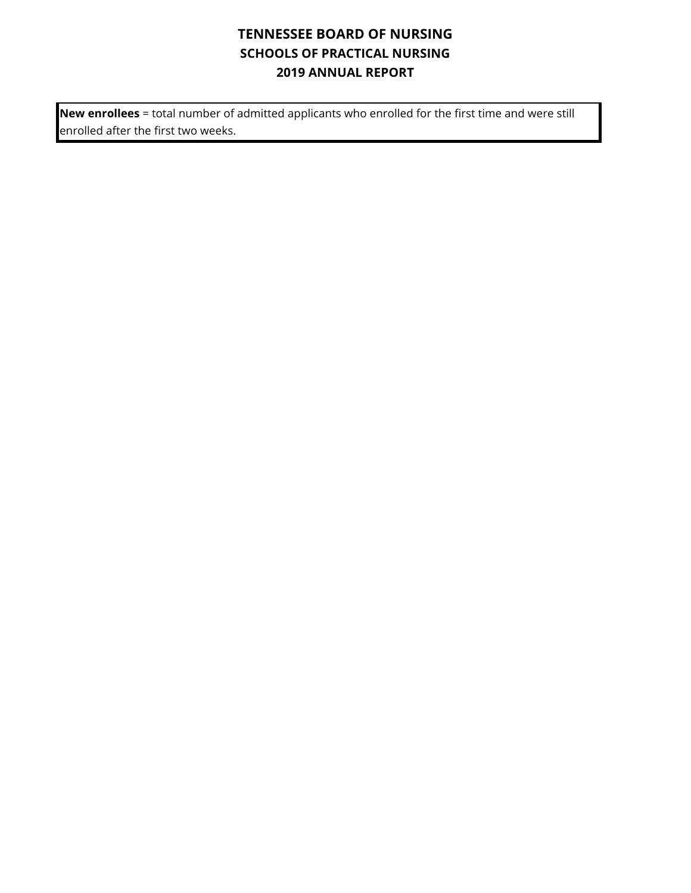**New enrollees** = total number of admitted applicants who enrolled for the first time and were still enrolled after the first two weeks.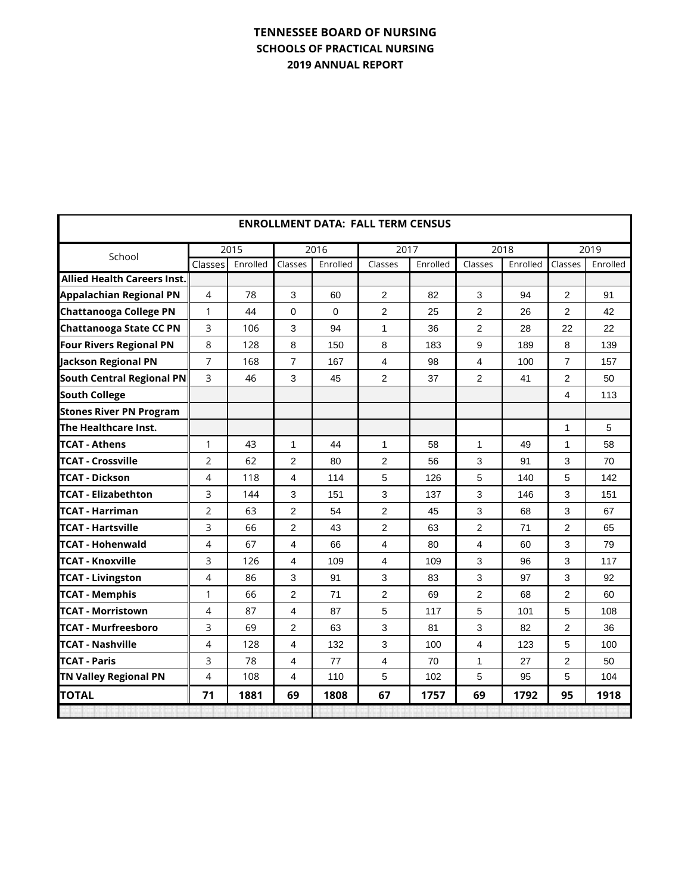×

| <b>ENROLLMENT DATA: FALL TERM CENSUS</b> |                |          |                |          |                |          |                |          |                |          |  |  |
|------------------------------------------|----------------|----------|----------------|----------|----------------|----------|----------------|----------|----------------|----------|--|--|
| School                                   | 2015           |          | 2016           |          | 2017           |          | 2018           |          | 2019           |          |  |  |
|                                          | Classes        | Enrolled | Classes        | Enrolled | Classes        | Enrolled | Classes        | Enrolled | Classes        | Enrolled |  |  |
| <b>Allied Health Careers Inst.</b>       |                |          |                |          |                |          |                |          |                |          |  |  |
| <b>Appalachian Regional PN</b>           | 4              | 78       | 3              | 60       | 2              | 82       | 3              | 94       | $\overline{2}$ | 91       |  |  |
| <b>Chattanooga College PN</b>            | $\mathbf{1}$   | 44       | 0              | $\Omega$ | 2              | 25       | $\overline{2}$ | 26       | $\overline{2}$ | 42       |  |  |
| <b>Chattanooga State CC PN</b>           | 3              | 106      | 3              | 94       | 1              | 36       | 2              | 28       | 22             | 22       |  |  |
| <b>Four Rivers Regional PN</b>           | 8              | 128      | 8              | 150      | 8              | 183      | 9              | 189      | 8              | 139      |  |  |
| Jackson Regional PN                      | 7              | 168      | 7              | 167      | 4              | 98       | 4              | 100      | $\overline{7}$ | 157      |  |  |
| <b>South Central Regional PN</b>         | 3              | 46       | 3              | 45       | 2              | 37       | $\overline{2}$ | 41       | $\overline{2}$ | 50       |  |  |
| <b>South College</b>                     |                |          |                |          |                |          |                |          | 4              | 113      |  |  |
| <b>Stones River PN Program</b>           |                |          |                |          |                |          |                |          |                |          |  |  |
| lThe Healthcare Inst.                    |                |          |                |          |                |          |                |          | 1              | 5        |  |  |
| <b>TCAT - Athens</b>                     | 1              | 43       | 1              | 44       | 1              | 58       | 1              | 49       | 1              | 58       |  |  |
| <b>TCAT - Crossville</b>                 | $\overline{2}$ | 62       | $\overline{2}$ | 80       | $\overline{2}$ | 56       | 3              | 91       | 3              | 70       |  |  |
| <b>TCAT - Dickson</b>                    | 4              | 118      | 4              | 114      | 5              | 126      | 5              | 140      | 5              | 142      |  |  |
| <b>TCAT - Elizabethton</b>               | 3              | 144      | 3              | 151      | 3              | 137      | 3              | 146      | 3              | 151      |  |  |
| lTCAT - Harriman                         | $\overline{2}$ | 63       | $\overline{2}$ | 54       | 2              | 45       | 3              | 68       | 3              | 67       |  |  |
| <b>TCAT - Hartsville</b>                 | 3              | 66       | 2              | 43       | $\overline{2}$ | 63       | 2              | 71       | 2              | 65       |  |  |
| <b>TCAT - Hohenwald</b>                  | 4              | 67       | 4              | 66       | $\overline{4}$ | 80       | 4              | 60       | 3              | 79       |  |  |
| <b>TCAT - Knoxville</b>                  | 3              | 126      | 4              | 109      | 4              | 109      | 3              | 96       | 3              | 117      |  |  |
| <b>TCAT - Livingston</b>                 | 4              | 86       | 3              | 91       | 3              | 83       | 3              | 97       | 3              | 92       |  |  |
| <b>TCAT - Memphis</b>                    | 1              | 66       | $\overline{2}$ | 71       | $\overline{2}$ | 69       | 2              | 68       | 2              | 60       |  |  |
| <b>TCAT - Morristown</b>                 | 4              | 87       | 4              | 87       | 5              | 117      | 5              | 101      | 5              | 108      |  |  |
| lTCAT - Murfreesboro                     | 3              | 69       | $\overline{2}$ | 63       | 3              | 81       | 3              | 82       | $\overline{2}$ | 36       |  |  |
| <b>TCAT - Nashville</b>                  | 4              | 128      | 4              | 132      | 3              | 100      | 4              | 123      | 5              | 100      |  |  |
| <b>TCAT - Paris</b>                      | 3              | 78       | 4              | 77       | 4              | 70       | 1              | 27       | $\overline{2}$ | 50       |  |  |
| <b>TN Valley Regional PN</b>             | 4              | 108      | 4              | 110      | 5              | 102      | 5              | 95       | 5              | 104      |  |  |
| <b>TOTAL</b>                             | 71             | 1881     | 69             | 1808     | 67             | 1757     | 69             | 1792     | 95             | 1918     |  |  |
|                                          |                |          |                |          |                |          |                |          |                |          |  |  |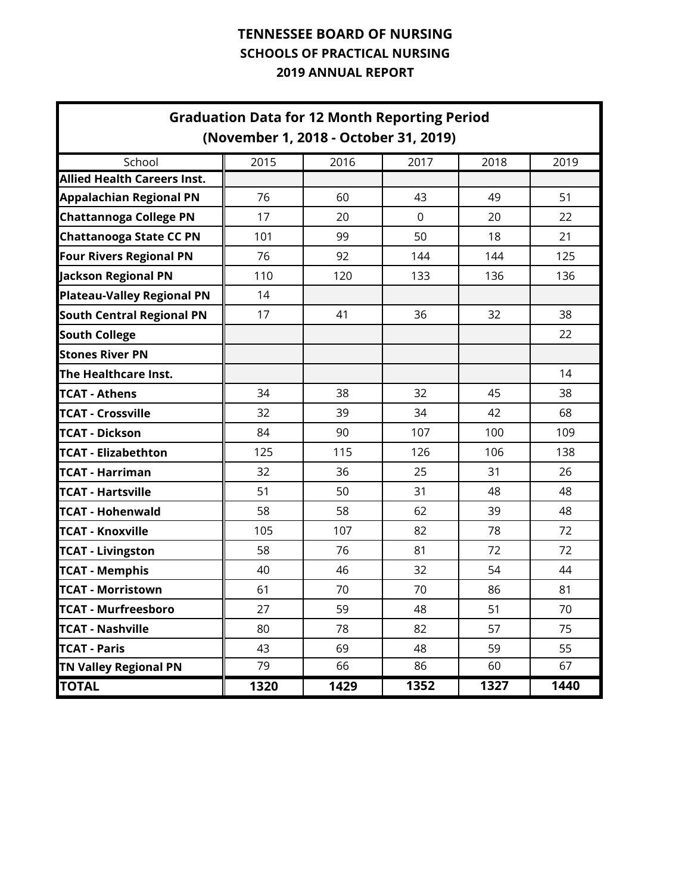| <b>Graduation Data for 12 Month Reporting Period</b><br>(November 1, 2018 - October 31, 2019) |      |      |             |      |      |  |  |  |  |  |  |
|-----------------------------------------------------------------------------------------------|------|------|-------------|------|------|--|--|--|--|--|--|
| School                                                                                        | 2015 | 2016 | 2017        | 2018 | 2019 |  |  |  |  |  |  |
| <b>Allied Health Careers Inst.</b>                                                            |      |      |             |      |      |  |  |  |  |  |  |
| <b>Appalachian Regional PN</b>                                                                | 76   | 60   | 43          | 49   | 51   |  |  |  |  |  |  |
| <b>Chattannoga College PN</b>                                                                 | 17   | 20   | $\mathbf 0$ | 20   | 22   |  |  |  |  |  |  |
| <b>Chattanooga State CC PN</b>                                                                | 101  | 99   | 50          | 18   | 21   |  |  |  |  |  |  |
| <b>Four Rivers Regional PN</b>                                                                | 76   | 92   | 144         | 144  | 125  |  |  |  |  |  |  |
| <b>Jackson Regional PN</b>                                                                    | 110  | 120  | 133         | 136  | 136  |  |  |  |  |  |  |
| <b>Plateau-Valley Regional PN</b>                                                             | 14   |      |             |      |      |  |  |  |  |  |  |
| <b>South Central Regional PN</b>                                                              | 17   | 41   | 36          | 32   | 38   |  |  |  |  |  |  |
| <b>South College</b>                                                                          |      |      |             |      | 22   |  |  |  |  |  |  |
| <b>Stones River PN</b>                                                                        |      |      |             |      |      |  |  |  |  |  |  |
| The Healthcare Inst.                                                                          |      |      |             |      | 14   |  |  |  |  |  |  |
| <b>TCAT - Athens</b>                                                                          | 34   | 38   | 32          | 45   | 38   |  |  |  |  |  |  |
| <b>TCAT - Crossville</b>                                                                      | 32   | 39   | 34          | 42   | 68   |  |  |  |  |  |  |
| <b>TCAT - Dickson</b>                                                                         | 84   | 90   | 107         | 100  | 109  |  |  |  |  |  |  |
| <b>TCAT - Elizabethton</b>                                                                    | 125  | 115  | 126         | 106  | 138  |  |  |  |  |  |  |
| <b>TCAT - Harriman</b>                                                                        | 32   | 36   | 25          | 31   | 26   |  |  |  |  |  |  |
| <b>TCAT - Hartsville</b>                                                                      | 51   | 50   | 31          | 48   | 48   |  |  |  |  |  |  |
| <b>TCAT - Hohenwald</b>                                                                       | 58   | 58   | 62          | 39   | 48   |  |  |  |  |  |  |
| <b>TCAT - Knoxville</b>                                                                       | 105  | 107  | 82          | 78   | 72   |  |  |  |  |  |  |
| <b>TCAT - Livingston</b>                                                                      | 58   | 76   | 81          | 72   | 72   |  |  |  |  |  |  |
| <b>TCAT - Memphis</b>                                                                         | 40   | 46   | 32          | 54   | 44   |  |  |  |  |  |  |
| <b>TCAT - Morristown</b>                                                                      | 61   | 70   | 70          | 86   | 81   |  |  |  |  |  |  |
| <b>TCAT - Murfreesboro</b>                                                                    | 27   | 59   | 48          | 51   | 70   |  |  |  |  |  |  |
| <b>TCAT - Nashville</b>                                                                       | 80   | 78   | 82          | 57   | 75   |  |  |  |  |  |  |
| <b>TCAT - Paris</b>                                                                           | 43   | 69   | 48          | 59   | 55   |  |  |  |  |  |  |
| <b>TN Valley Regional PN</b>                                                                  | 79   | 66   | 86          | 60   | 67   |  |  |  |  |  |  |
| <b>TOTAL</b>                                                                                  | 1320 | 1429 | 1352        | 1327 | 1440 |  |  |  |  |  |  |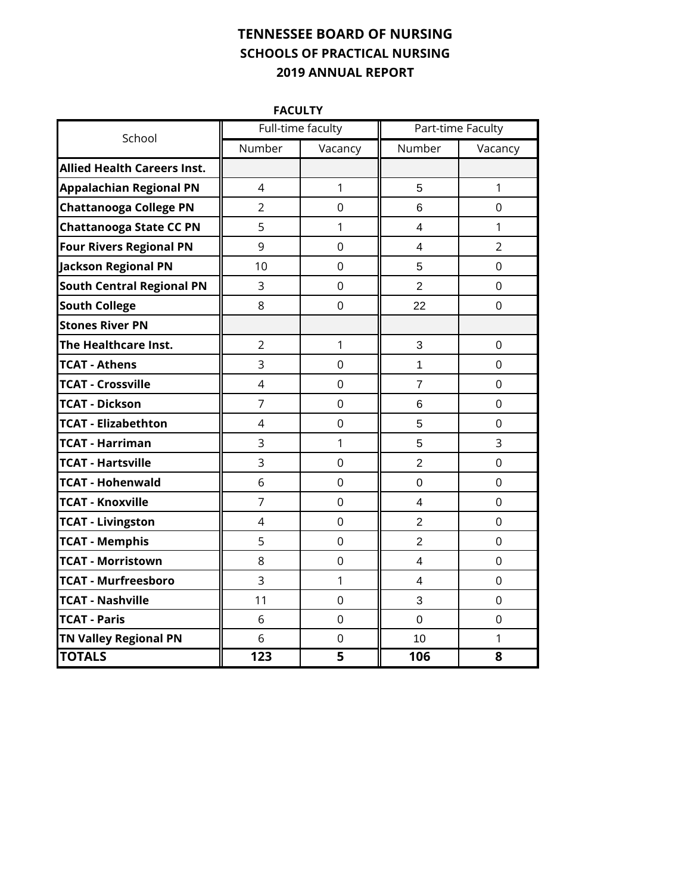**FACULTY**

| School                             |                | Full-time faculty | Part-time Faculty       |                  |  |  |
|------------------------------------|----------------|-------------------|-------------------------|------------------|--|--|
|                                    | Number         | Vacancy           | Number                  | Vacancy          |  |  |
| <b>Allied Health Careers Inst.</b> |                |                   |                         |                  |  |  |
| <b>Appalachian Regional PN</b>     | 4              | 1                 | 5                       | $\mathbf{1}$     |  |  |
| <b>Chattanooga College PN</b>      | $\overline{2}$ | 0                 | 6                       | 0                |  |  |
| <b>Chattanooga State CC PN</b>     | 5              | $\mathbf{1}$      | $\overline{4}$          | $\mathbf{1}$     |  |  |
| <b>Four Rivers Regional PN</b>     | 9              | $\mathbf 0$       | $\overline{\mathbf{4}}$ | $\overline{2}$   |  |  |
| <b>Jackson Regional PN</b>         | 10             | 0                 | 5                       | $\mathbf 0$      |  |  |
| <b>South Central Regional PN</b>   | 3              | $\overline{0}$    | $\overline{2}$          | $\overline{0}$   |  |  |
| <b>South College</b>               | 8              | 0                 | 22                      | $\mathbf 0$      |  |  |
| <b>Stones River PN</b>             |                |                   |                         |                  |  |  |
| The Healthcare Inst.               | $\overline{2}$ | $\mathbf{1}$      | 3                       | $\overline{0}$   |  |  |
| <b>TCAT - Athens</b>               | 3              | $\overline{0}$    | $\mathbf{1}$            | $\overline{0}$   |  |  |
| <b>TCAT - Crossville</b>           | $\overline{4}$ | 0                 | $\overline{7}$          | $\mathbf 0$      |  |  |
| <b>TCAT - Dickson</b>              | $\overline{7}$ | 0                 | 6                       | $\mathbf 0$      |  |  |
| <b>TCAT - Elizabethton</b>         | 4              | 0                 | 5                       | $\mathbf 0$      |  |  |
| <b>TCAT - Harriman</b>             | 3              | 1                 | 5                       | $\overline{3}$   |  |  |
| <b>TCAT - Hartsville</b>           | 3              | 0                 | $\overline{2}$          | $\mathbf 0$      |  |  |
| <b>TCAT - Hohenwald</b>            | 6              | 0                 | $\boldsymbol{0}$        | $\mathbf 0$      |  |  |
| <b>TCAT - Knoxville</b>            | $\overline{7}$ | 0                 | $\overline{4}$          | $\mathbf 0$      |  |  |
| <b>TCAT - Livingston</b>           | $\overline{4}$ | $\overline{0}$    | $\overline{2}$          | $\overline{0}$   |  |  |
| <b>TCAT - Memphis</b>              | 5              | 0                 | $\overline{2}$          | $\boldsymbol{0}$ |  |  |
| <b>TCAT - Morristown</b>           | 8              | 0                 | $\overline{4}$          | $\overline{0}$   |  |  |
| <b>TCAT - Murfreesboro</b>         | $\overline{3}$ | $\mathbf{1}$      | $\overline{\mathbf{4}}$ | $\overline{0}$   |  |  |
| <b>TCAT - Nashville</b>            | 11             | 0                 | 3                       | $\mathbf 0$      |  |  |
| <b>TCAT - Paris</b>                | 6              | 0                 | $\mathbf 0$             | $\mathbf 0$      |  |  |
| <b>TN Valley Regional PN</b>       | 6              | $\mathsf 0$       | 10                      | $\mathbf{1}$     |  |  |
| <b>TOTALS</b>                      | 123            | 5                 | 106                     | 8                |  |  |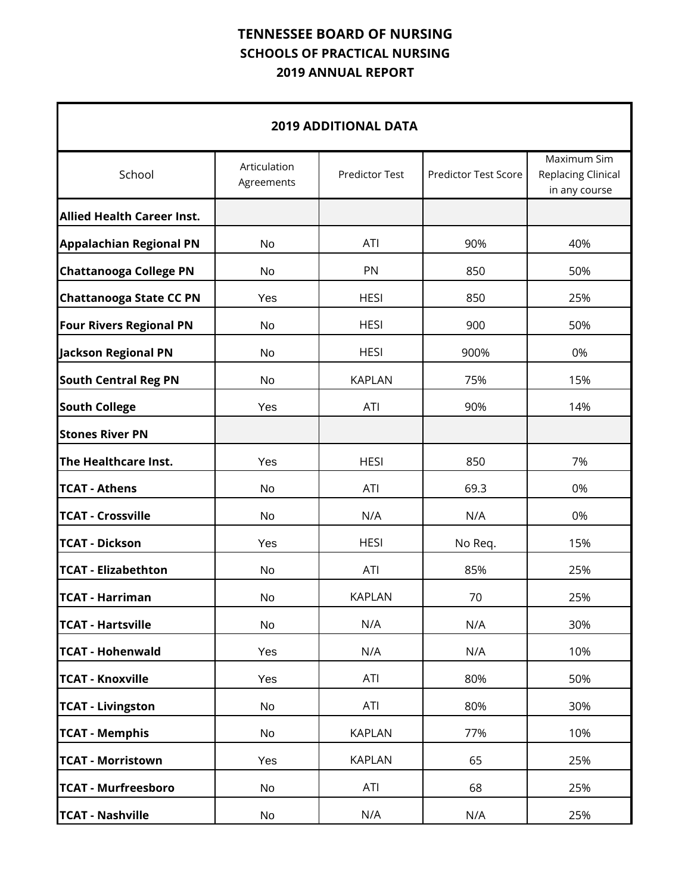| <b>2019 ADDITIONAL DATA</b>       |                            |                       |                             |                                                    |  |  |  |  |  |  |  |  |
|-----------------------------------|----------------------------|-----------------------|-----------------------------|----------------------------------------------------|--|--|--|--|--|--|--|--|
| School                            | Articulation<br>Agreements | <b>Predictor Test</b> | <b>Predictor Test Score</b> | Maximum Sim<br>Replacing Clinical<br>in any course |  |  |  |  |  |  |  |  |
| <b>Allied Health Career Inst.</b> |                            |                       |                             |                                                    |  |  |  |  |  |  |  |  |
| <b>Appalachian Regional PN</b>    | No                         | <b>ATI</b>            | 90%                         | 40%                                                |  |  |  |  |  |  |  |  |
| <b>Chattanooga College PN</b>     | No                         | PN                    | 850                         | 50%                                                |  |  |  |  |  |  |  |  |
| <b>Chattanooga State CC PN</b>    | Yes                        | <b>HESI</b>           | 850                         | 25%                                                |  |  |  |  |  |  |  |  |
| <b>Four Rivers Regional PN</b>    | <b>No</b>                  | <b>HESI</b>           | 900                         | 50%                                                |  |  |  |  |  |  |  |  |
| <b>Jackson Regional PN</b>        | <b>No</b>                  | <b>HESI</b>           | 900%                        | 0%                                                 |  |  |  |  |  |  |  |  |
| <b>South Central Reg PN</b>       | <b>No</b>                  | <b>KAPLAN</b>         | 75%                         | 15%                                                |  |  |  |  |  |  |  |  |
| <b>South College</b>              | Yes                        | <b>ATI</b>            | 90%                         | 14%                                                |  |  |  |  |  |  |  |  |
| <b>Stones River PN</b>            |                            |                       |                             |                                                    |  |  |  |  |  |  |  |  |
| The Healthcare Inst.              | Yes                        | <b>HESI</b>           | 850                         | 7%                                                 |  |  |  |  |  |  |  |  |
| <b>TCAT - Athens</b>              | <b>No</b>                  | ATI                   | 69.3                        | 0%                                                 |  |  |  |  |  |  |  |  |
| <b>TCAT - Crossville</b>          | <b>No</b>                  | N/A                   | N/A                         | 0%                                                 |  |  |  |  |  |  |  |  |
| <b>TCAT - Dickson</b>             | Yes                        | <b>HESI</b>           | No Req.                     | 15%                                                |  |  |  |  |  |  |  |  |
| <b>TCAT - Elizabethton</b>        | <b>No</b>                  | ATI                   | 85%                         | 25%                                                |  |  |  |  |  |  |  |  |
| <b>TCAT - Harriman</b>            | <b>No</b>                  | <b>KAPLAN</b>         | 70                          | 25%                                                |  |  |  |  |  |  |  |  |
| <b>TCAT - Hartsville</b>          | No                         | N/A                   | N/A                         | 30%                                                |  |  |  |  |  |  |  |  |
| <b>TCAT - Hohenwald</b>           | Yes                        | N/A                   | N/A                         | 10%                                                |  |  |  |  |  |  |  |  |
| <b>TCAT - Knoxville</b>           | Yes                        | ATI                   | 80%                         | 50%                                                |  |  |  |  |  |  |  |  |
| <b>TCAT - Livingston</b>          | No                         | ATI                   | 80%                         | 30%                                                |  |  |  |  |  |  |  |  |
| <b>TCAT - Memphis</b>             | No                         | <b>KAPLAN</b>         | 77%                         | 10%                                                |  |  |  |  |  |  |  |  |
| <b>TCAT - Morristown</b>          | Yes                        | <b>KAPLAN</b>         | 65                          | 25%                                                |  |  |  |  |  |  |  |  |
| <b>TCAT - Murfreesboro</b>        | No                         | ATI                   | 68                          | 25%                                                |  |  |  |  |  |  |  |  |
| <b>TCAT - Nashville</b>           | No                         | N/A                   | N/A                         | 25%                                                |  |  |  |  |  |  |  |  |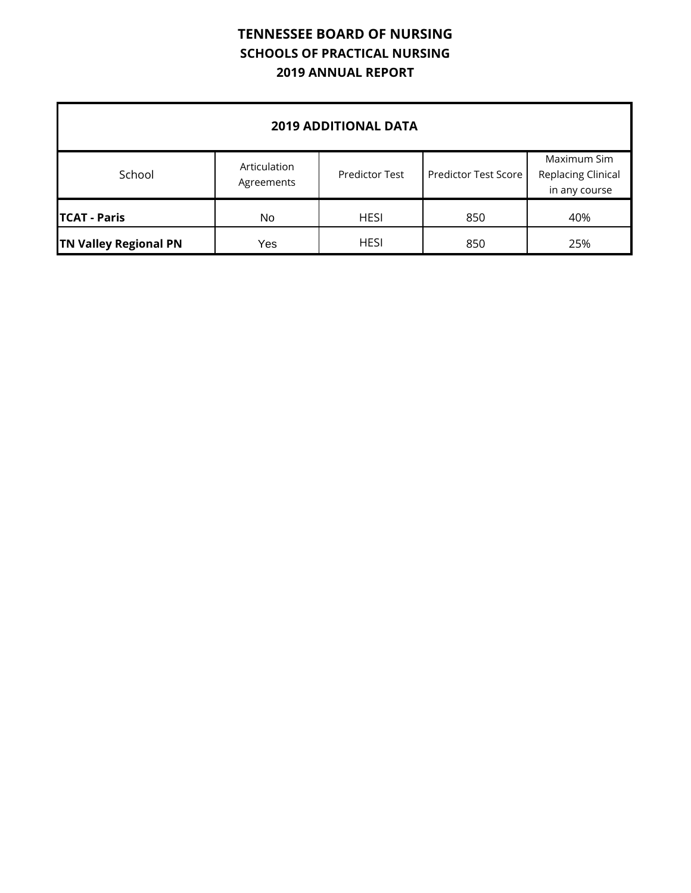| <b>2019 ADDITIONAL DATA</b>  |                            |                       |                      |                                                    |  |  |  |  |  |  |  |  |
|------------------------------|----------------------------|-----------------------|----------------------|----------------------------------------------------|--|--|--|--|--|--|--|--|
| School                       | Articulation<br>Agreements | <b>Predictor Test</b> | Predictor Test Score | Maximum Sim<br>Replacing Clinical<br>in any course |  |  |  |  |  |  |  |  |
| <b>TCAT - Paris</b>          | No.                        | <b>HESI</b>           | 850                  | 40%                                                |  |  |  |  |  |  |  |  |
| <b>TN Valley Regional PN</b> | Yes                        | <b>HESI</b>           | 850                  | 25%                                                |  |  |  |  |  |  |  |  |